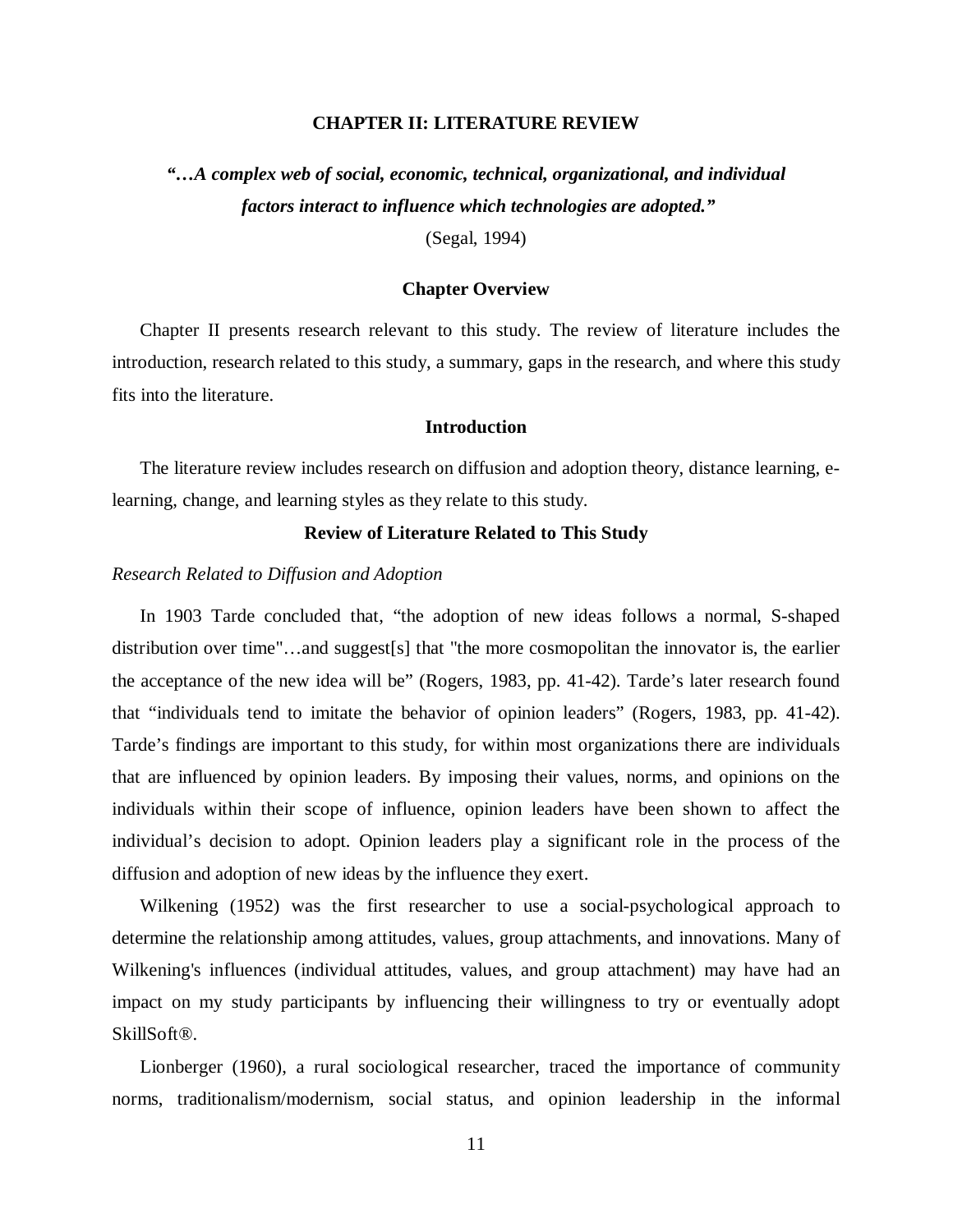## **CHAPTER II: LITERATURE REVIEW**

*"…A complex web of social, economic, technical, organizational, and individual factors interact to influence which technologies are adopted."* 

(Segal, 1994)

### **Chapter Overview**

Chapter II presents research relevant to this study. The review of literature includes the introduction, research related to this study, a summary, gaps in the research, and where this study fits into the literature.

# **Introduction**

The literature review includes research on diffusion and adoption theory, distance learning, elearning, change, and learning styles as they relate to this study.

# **Review of Literature Related to This Study**

# *Research Related to Diffusion and Adoption*

In 1903 Tarde concluded that, "the adoption of new ideas follows a normal, S-shaped distribution over time"…and suggest[s] that "the more cosmopolitan the innovator is, the earlier the acceptance of the new idea will be" (Rogers, 1983, pp. 41-42). Tarde's later research found that "individuals tend to imitate the behavior of opinion leaders" (Rogers, 1983, pp. 41-42). Tarde's findings are important to this study, for within most organizations there are individuals that are influenced by opinion leaders. By imposing their values, norms, and opinions on the individuals within their scope of influence, opinion leaders have been shown to affect the individual's decision to adopt. Opinion leaders play a significant role in the process of the diffusion and adoption of new ideas by the influence they exert.

Wilkening (1952) was the first researcher to use a social-psychological approach to determine the relationship among attitudes, values, group attachments, and innovations. Many of Wilkening's influences (individual attitudes, values, and group attachment) may have had an impact on my study participants by influencing their willingness to try or eventually adopt SkillSoft®.

Lionberger (1960), a rural sociological researcher, traced the importance of community norms, traditionalism/modernism, social status, and opinion leadership in the informal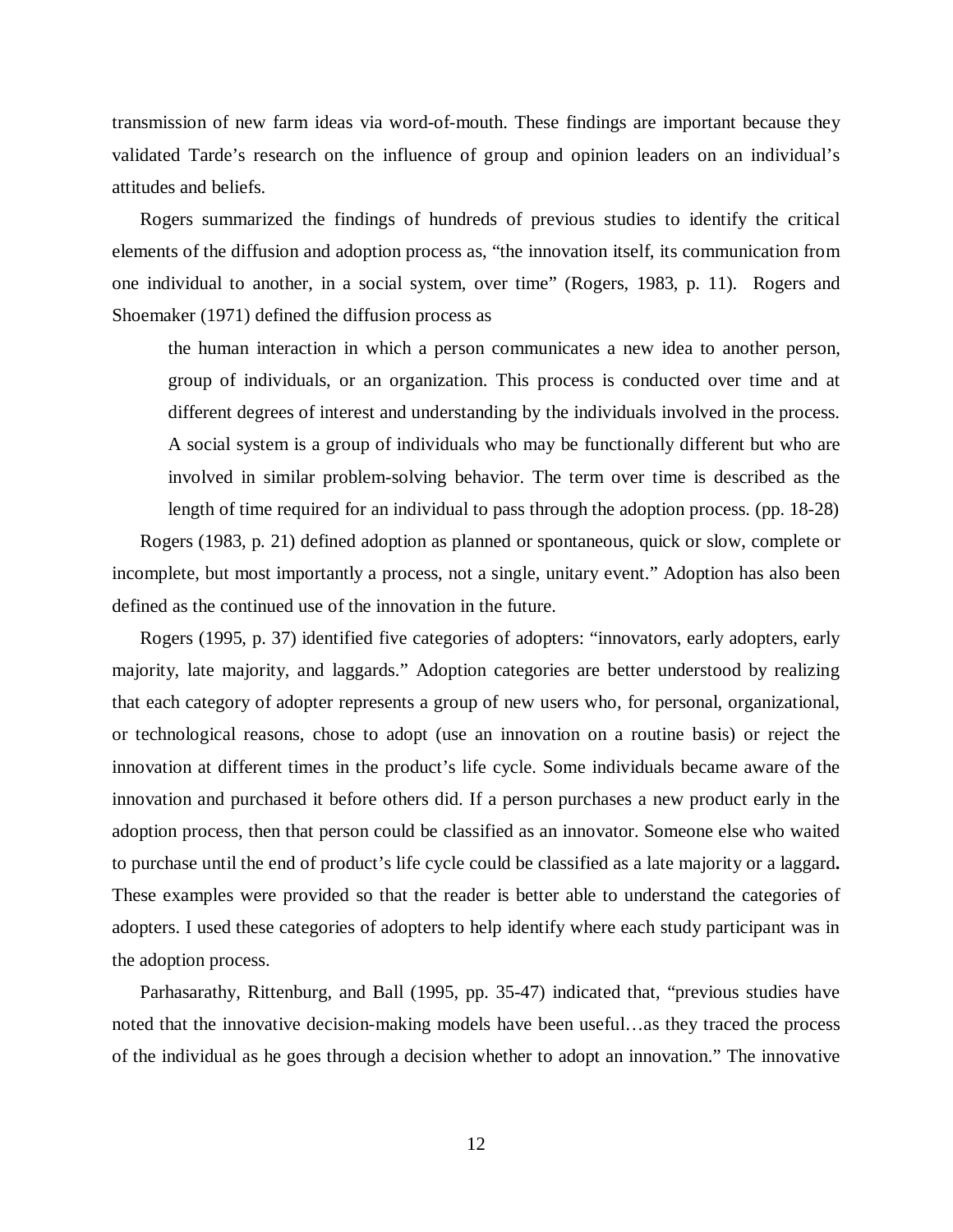transmission of new farm ideas via word-of-mouth. These findings are important because they validated Tarde's research on the influence of group and opinion leaders on an individual's attitudes and beliefs.

Rogers summarized the findings of hundreds of previous studies to identify the critical elements of the diffusion and adoption process as, "the innovation itself, its communication from one individual to another, in a social system, over time" (Rogers, 1983, p. 11). Rogers and Shoemaker (1971) defined the diffusion process as

the human interaction in which a person communicates a new idea to another person, group of individuals, or an organization. This process is conducted over time and at different degrees of interest and understanding by the individuals involved in the process. A social system is a group of individuals who may be functionally different but who are involved in similar problem-solving behavior. The term over time is described as the length of time required for an individual to pass through the adoption process. (pp. 18-28)

Rogers (1983, p. 21) defined adoption as planned or spontaneous, quick or slow, complete or incomplete, but most importantly a process, not a single, unitary event." Adoption has also been defined as the continued use of the innovation in the future.

Rogers (1995, p. 37) identified five categories of adopters: "innovators, early adopters, early majority, late majority, and laggards." Adoption categories are better understood by realizing that each category of adopter represents a group of new users who, for personal, organizational, or technological reasons, chose to adopt (use an innovation on a routine basis) or reject the innovation at different times in the product's life cycle. Some individuals became aware of the innovation and purchased it before others did. If a person purchases a new product early in the adoption process, then that person could be classified as an innovator. Someone else who waited to purchase until the end of product's life cycle could be classified as a late majority or a laggard**.**  These examples were provided so that the reader is better able to understand the categories of adopters. I used these categories of adopters to help identify where each study participant was in the adoption process.

Parhasarathy, Rittenburg, and Ball (1995, pp. 35-47) indicated that, "previous studies have noted that the innovative decision-making models have been useful…as they traced the process of the individual as he goes through a decision whether to adopt an innovation." The innovative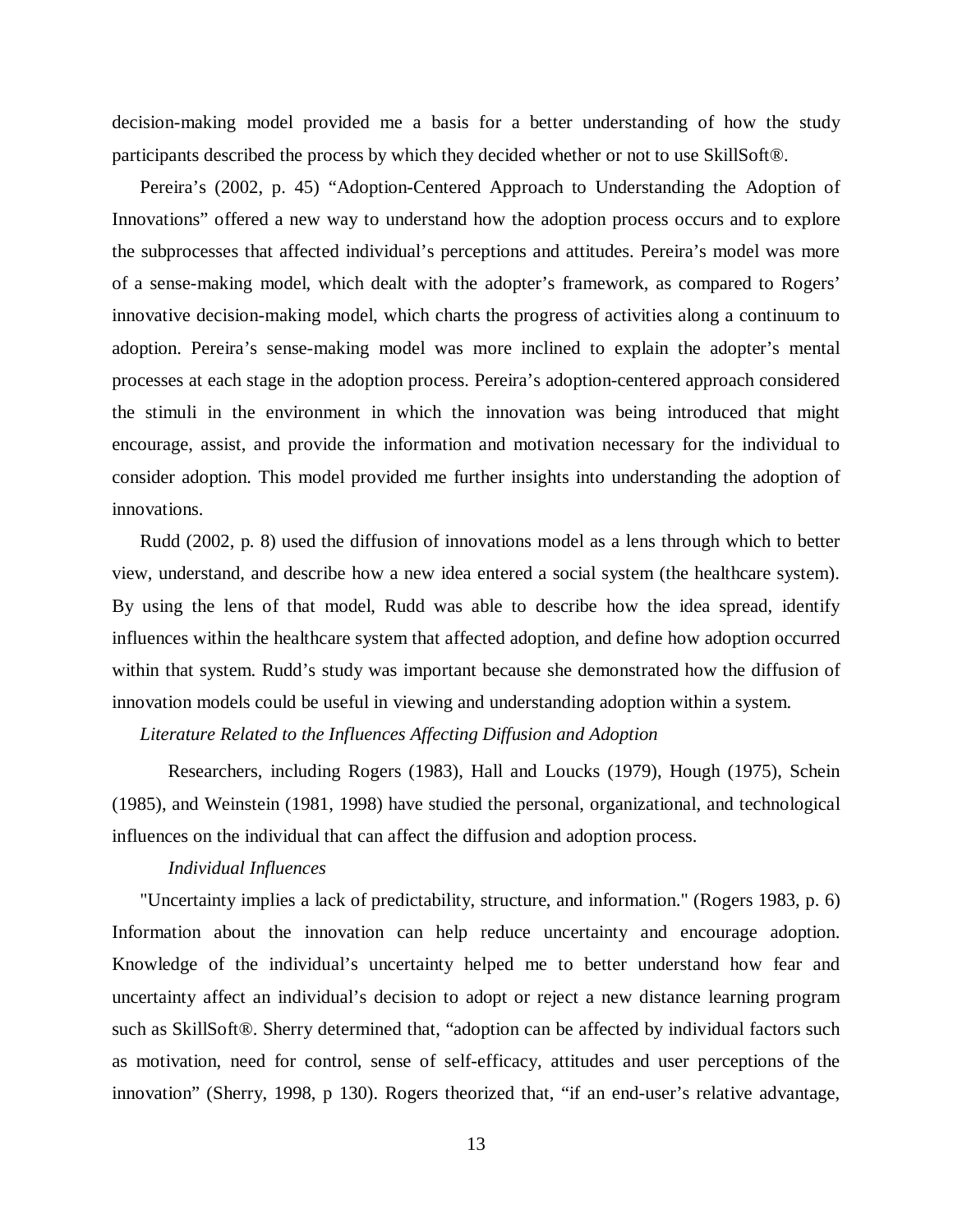decision-making model provided me a basis for a better understanding of how the study participants described the process by which they decided whether or not to use SkillSoft®.

Pereira's (2002, p. 45) "Adoption-Centered Approach to Understanding the Adoption of Innovations" offered a new way to understand how the adoption process occurs and to explore the subprocesses that affected individual's perceptions and attitudes. Pereira's model was more of a sense-making model, which dealt with the adopter's framework, as compared to Rogers' innovative decision-making model, which charts the progress of activities along a continuum to adoption. Pereira's sense-making model was more inclined to explain the adopter's mental processes at each stage in the adoption process. Pereira's adoption-centered approach considered the stimuli in the environment in which the innovation was being introduced that might encourage, assist, and provide the information and motivation necessary for the individual to consider adoption. This model provided me further insights into understanding the adoption of innovations.

Rudd (2002, p. 8) used the diffusion of innovations model as a lens through which to better view, understand, and describe how a new idea entered a social system (the healthcare system). By using the lens of that model, Rudd was able to describe how the idea spread, identify influences within the healthcare system that affected adoption, and define how adoption occurred within that system. Rudd's study was important because she demonstrated how the diffusion of innovation models could be useful in viewing and understanding adoption within a system.

## *Literature Related to the Influences Affecting Diffusion and Adoption*

Researchers, including Rogers (1983), Hall and Loucks (1979), Hough (1975), Schein (1985), and Weinstein (1981, 1998) have studied the personal, organizational, and technological influences on the individual that can affect the diffusion and adoption process.

## *Individual Influences*

"Uncertainty implies a lack of predictability, structure, and information." (Rogers 1983, p. 6) Information about the innovation can help reduce uncertainty and encourage adoption. Knowledge of the individual's uncertainty helped me to better understand how fear and uncertainty affect an individual's decision to adopt or reject a new distance learning program such as SkillSoft®. Sherry determined that, "adoption can be affected by individual factors such as motivation, need for control, sense of self-efficacy, attitudes and user perceptions of the innovation" (Sherry, 1998, p 130). Rogers theorized that, "if an end-user's relative advantage,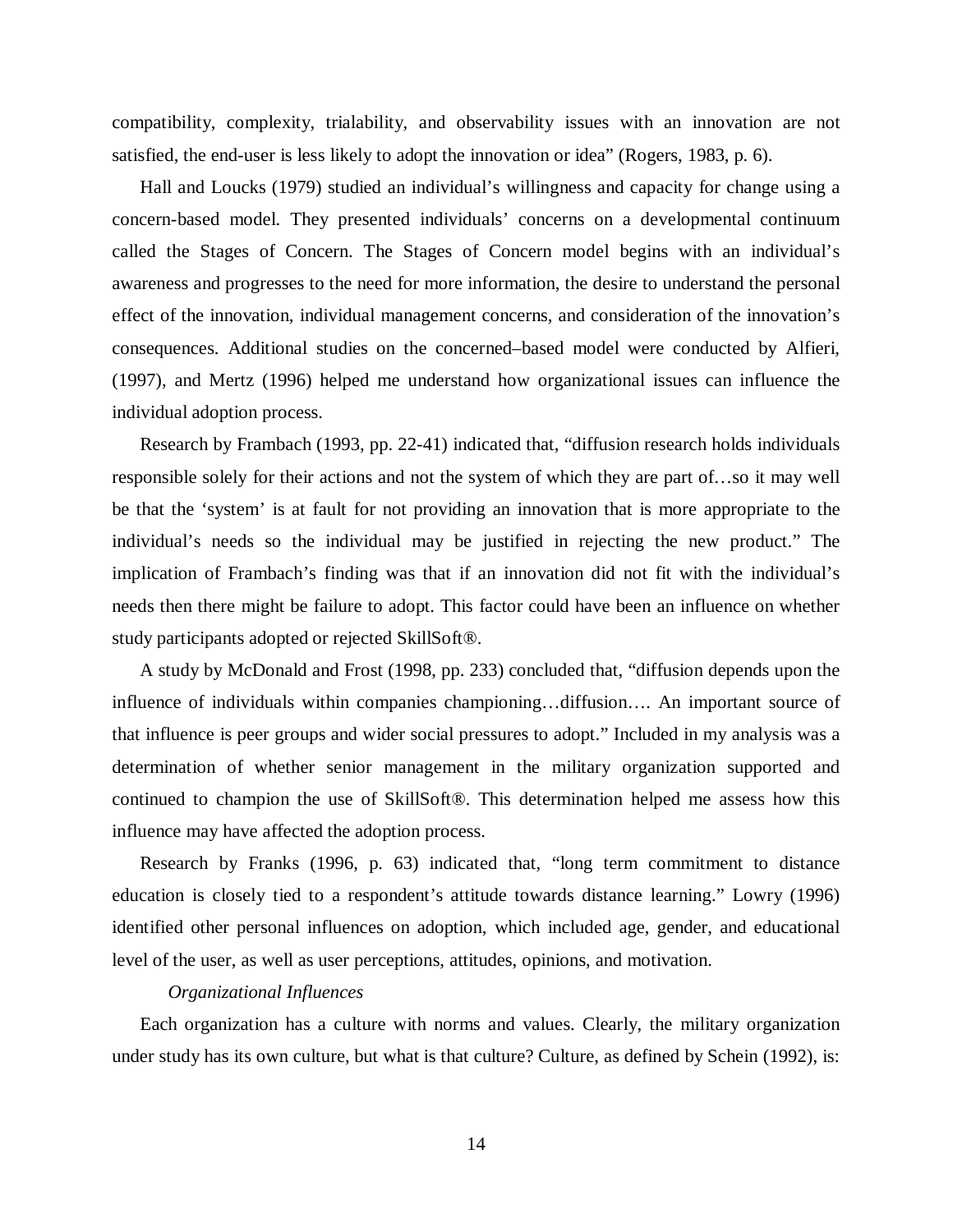compatibility, complexity, trialability, and observability issues with an innovation are not satisfied, the end-user is less likely to adopt the innovation or idea" (Rogers, 1983, p. 6).

Hall and Loucks (1979) studied an individual's willingness and capacity for change using a concern-based model. They presented individuals' concerns on a developmental continuum called the Stages of Concern. The Stages of Concern model begins with an individual's awareness and progresses to the need for more information, the desire to understand the personal effect of the innovation, individual management concerns, and consideration of the innovation's consequences. Additional studies on the concerned–based model were conducted by Alfieri, (1997), and Mertz (1996) helped me understand how organizational issues can influence the individual adoption process.

Research by Frambach (1993, pp. 22-41) indicated that, "diffusion research holds individuals responsible solely for their actions and not the system of which they are part of…so it may well be that the 'system' is at fault for not providing an innovation that is more appropriate to the individual's needs so the individual may be justified in rejecting the new product." The implication of Frambach's finding was that if an innovation did not fit with the individual's needs then there might be failure to adopt. This factor could have been an influence on whether study participants adopted or rejected SkillSoft®.

A study by McDonald and Frost (1998, pp. 233) concluded that, "diffusion depends upon the influence of individuals within companies championing…diffusion…. An important source of that influence is peer groups and wider social pressures to adopt." Included in my analysis was a determination of whether senior management in the military organization supported and continued to champion the use of SkillSoft®. This determination helped me assess how this influence may have affected the adoption process.

Research by Franks (1996, p. 63) indicated that, "long term commitment to distance education is closely tied to a respondent's attitude towards distance learning." Lowry (1996) identified other personal influences on adoption, which included age, gender, and educational level of the user, as well as user perceptions, attitudes, opinions, and motivation.

## *Organizational Influences*

Each organization has a culture with norms and values. Clearly, the military organization under study has its own culture, but what is that culture? Culture, as defined by Schein (1992), is: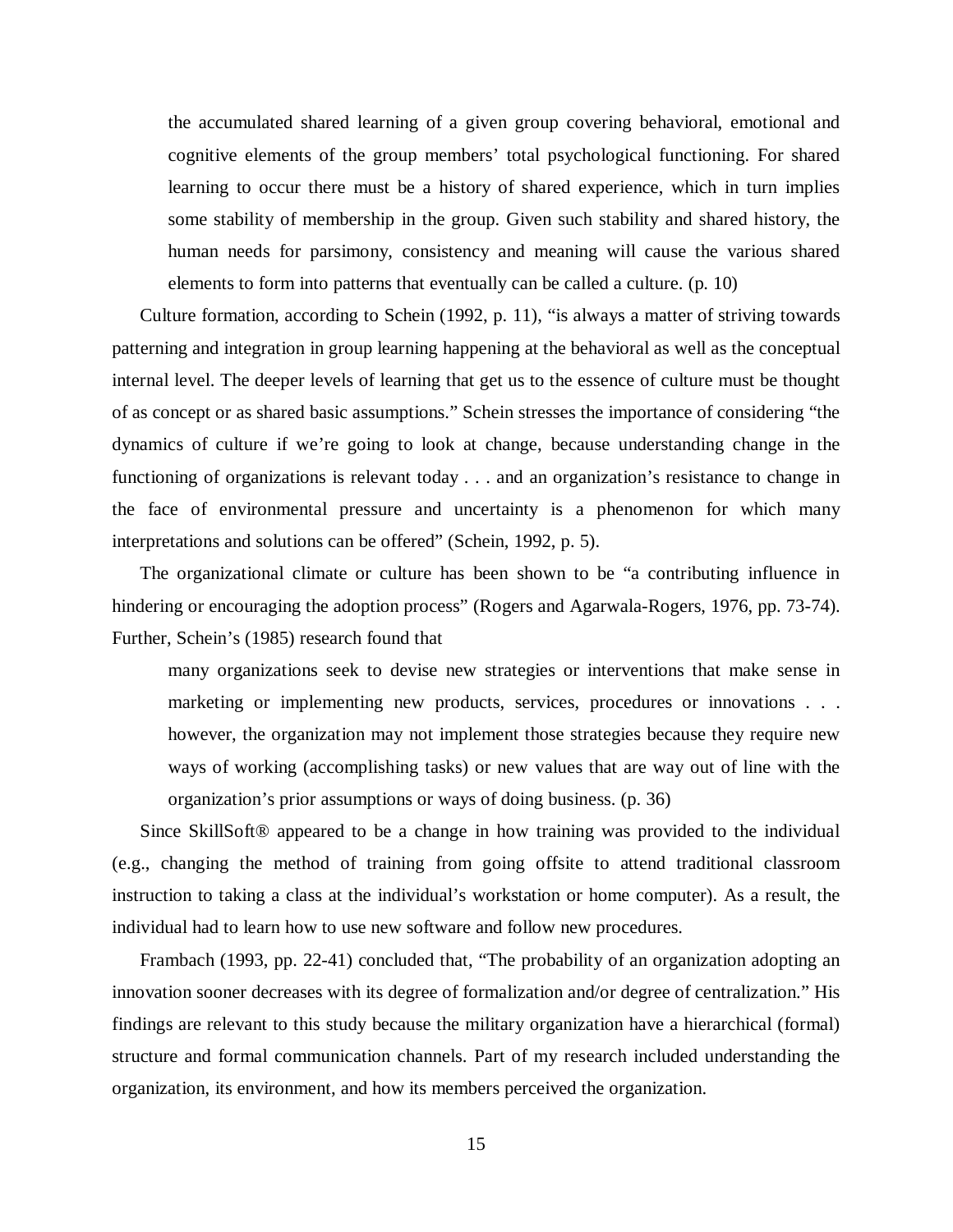the accumulated shared learning of a given group covering behavioral, emotional and cognitive elements of the group members' total psychological functioning. For shared learning to occur there must be a history of shared experience, which in turn implies some stability of membership in the group. Given such stability and shared history, the human needs for parsimony, consistency and meaning will cause the various shared elements to form into patterns that eventually can be called a culture. (p. 10)

Culture formation, according to Schein (1992, p. 11), "is always a matter of striving towards patterning and integration in group learning happening at the behavioral as well as the conceptual internal level. The deeper levels of learning that get us to the essence of culture must be thought of as concept or as shared basic assumptions." Schein stresses the importance of considering "the dynamics of culture if we're going to look at change, because understanding change in the functioning of organizations is relevant today . . . and an organization's resistance to change in the face of environmental pressure and uncertainty is a phenomenon for which many interpretations and solutions can be offered" (Schein, 1992, p. 5).

The organizational climate or culture has been shown to be "a contributing influence in hindering or encouraging the adoption process" (Rogers and Agarwala-Rogers, 1976, pp. 73-74). Further, Schein's (1985) research found that

many organizations seek to devise new strategies or interventions that make sense in marketing or implementing new products, services, procedures or innovations . . . however, the organization may not implement those strategies because they require new ways of working (accomplishing tasks) or new values that are way out of line with the organization's prior assumptions or ways of doing business. (p. 36)

Since SkillSoft® appeared to be a change in how training was provided to the individual (e.g., changing the method of training from going offsite to attend traditional classroom instruction to taking a class at the individual's workstation or home computer). As a result, the individual had to learn how to use new software and follow new procedures.

Frambach (1993, pp. 22-41) concluded that, "The probability of an organization adopting an innovation sooner decreases with its degree of formalization and/or degree of centralization." His findings are relevant to this study because the military organization have a hierarchical (formal) structure and formal communication channels. Part of my research included understanding the organization, its environment, and how its members perceived the organization.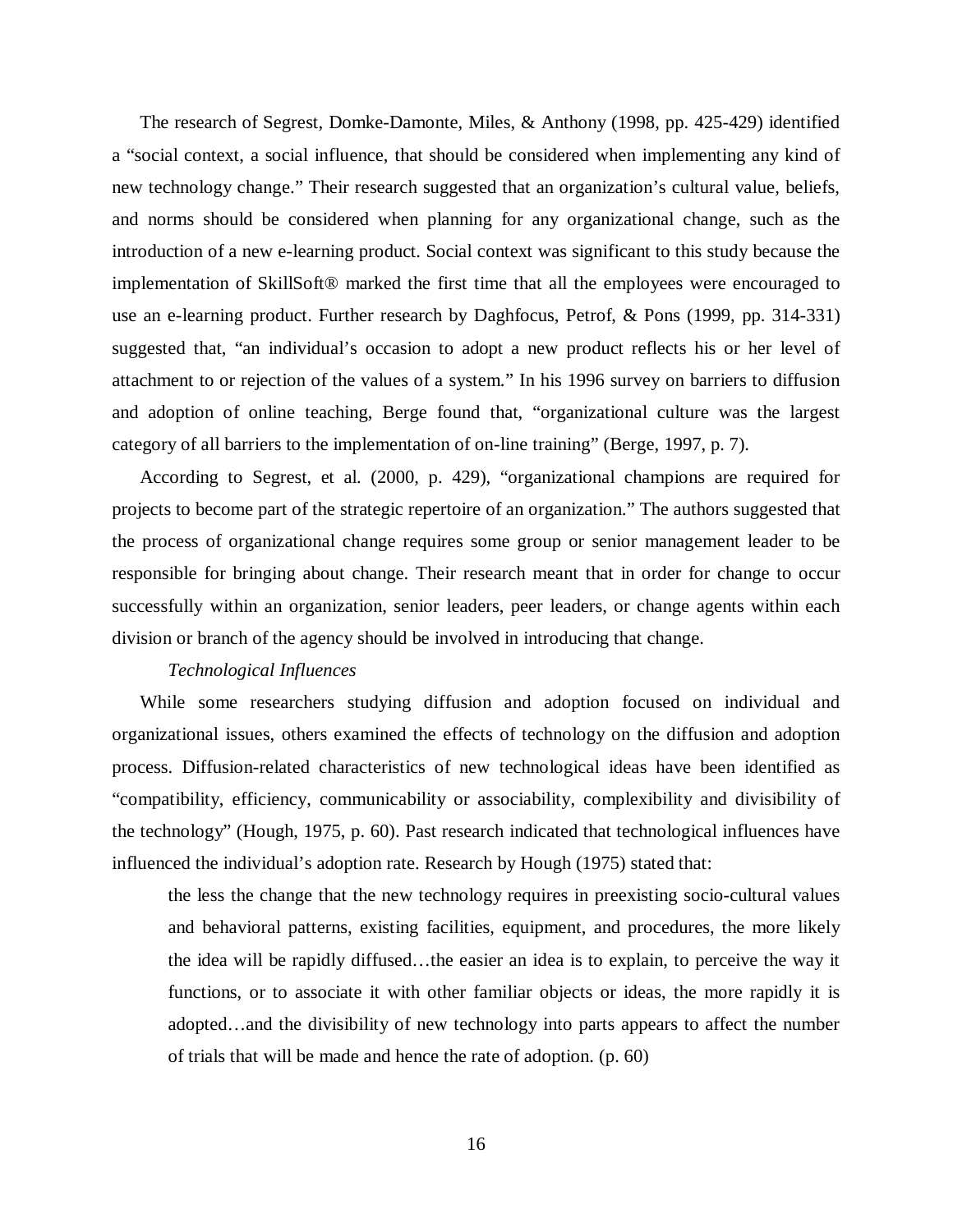The research of Segrest, Domke-Damonte, Miles, & Anthony (1998, pp. 425-429) identified a "social context, a social influence, that should be considered when implementing any kind of new technology change." Their research suggested that an organization's cultural value, beliefs, and norms should be considered when planning for any organizational change, such as the introduction of a new e-learning product. Social context was significant to this study because the implementation of SkillSoft® marked the first time that all the employees were encouraged to use an e-learning product. Further research by Daghfocus, Petrof, & Pons (1999, pp. 314-331) suggested that, "an individual's occasion to adopt a new product reflects his or her level of attachment to or rejection of the values of a system." In his 1996 survey on barriers to diffusion and adoption of online teaching, Berge found that, "organizational culture was the largest category of all barriers to the implementation of on-line training" (Berge, 1997, p. 7).

According to Segrest, et al. (2000, p. 429), "organizational champions are required for projects to become part of the strategic repertoire of an organization." The authors suggested that the process of organizational change requires some group or senior management leader to be responsible for bringing about change. Their research meant that in order for change to occur successfully within an organization, senior leaders, peer leaders, or change agents within each division or branch of the agency should be involved in introducing that change.

# *Technological Influences*

While some researchers studying diffusion and adoption focused on individual and organizational issues, others examined the effects of technology on the diffusion and adoption process. Diffusion-related characteristics of new technological ideas have been identified as "compatibility, efficiency, communicability or associability, complexibility and divisibility of the technology" (Hough, 1975, p. 60). Past research indicated that technological influences have influenced the individual's adoption rate. Research by Hough (1975) stated that:

the less the change that the new technology requires in preexisting socio-cultural values and behavioral patterns, existing facilities, equipment, and procedures, the more likely the idea will be rapidly diffused…the easier an idea is to explain, to perceive the way it functions, or to associate it with other familiar objects or ideas, the more rapidly it is adopted…and the divisibility of new technology into parts appears to affect the number of trials that will be made and hence the rate of adoption. (p. 60)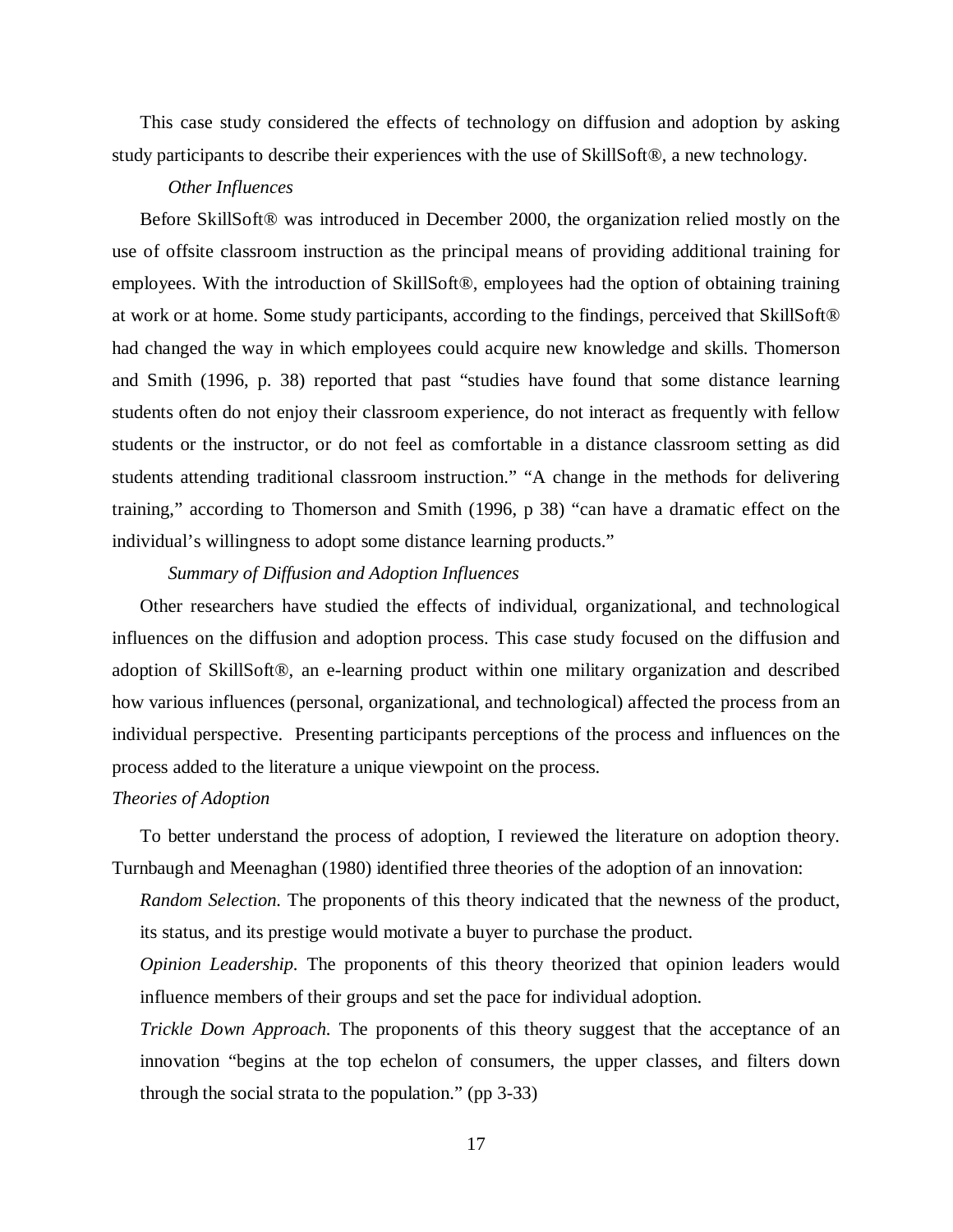This case study considered the effects of technology on diffusion and adoption by asking study participants to describe their experiences with the use of SkillSoft®, a new technology.

# *Other Influences*

Before SkillSoft® was introduced in December 2000, the organization relied mostly on the use of offsite classroom instruction as the principal means of providing additional training for employees. With the introduction of SkillSoft®, employees had the option of obtaining training at work or at home. Some study participants, according to the findings, perceived that SkillSoft® had changed the way in which employees could acquire new knowledge and skills. Thomerson and Smith (1996, p. 38) reported that past "studies have found that some distance learning students often do not enjoy their classroom experience, do not interact as frequently with fellow students or the instructor, or do not feel as comfortable in a distance classroom setting as did students attending traditional classroom instruction." "A change in the methods for delivering training," according to Thomerson and Smith (1996, p 38) "can have a dramatic effect on the individual's willingness to adopt some distance learning products."

# *Summary of Diffusion and Adoption Influences*

Other researchers have studied the effects of individual, organizational, and technological influences on the diffusion and adoption process. This case study focused on the diffusion and adoption of SkillSoft®, an e-learning product within one military organization and described how various influences (personal, organizational, and technological) affected the process from an individual perspective. Presenting participants perceptions of the process and influences on the process added to the literature a unique viewpoint on the process.

# *Theories of Adoption*

To better understand the process of adoption, I reviewed the literature on adoption theory. Turnbaugh and Meenaghan (1980) identified three theories of the adoption of an innovation:

*Random Selection.* The proponents of this theory indicated that the newness of the product, its status, and its prestige would motivate a buyer to purchase the product.

*Opinion Leadership.* The proponents of this theory theorized that opinion leaders would influence members of their groups and set the pace for individual adoption.

*Trickle Down Approach.* The proponents of this theory suggest that the acceptance of an innovation "begins at the top echelon of consumers, the upper classes, and filters down through the social strata to the population." (pp 3-33)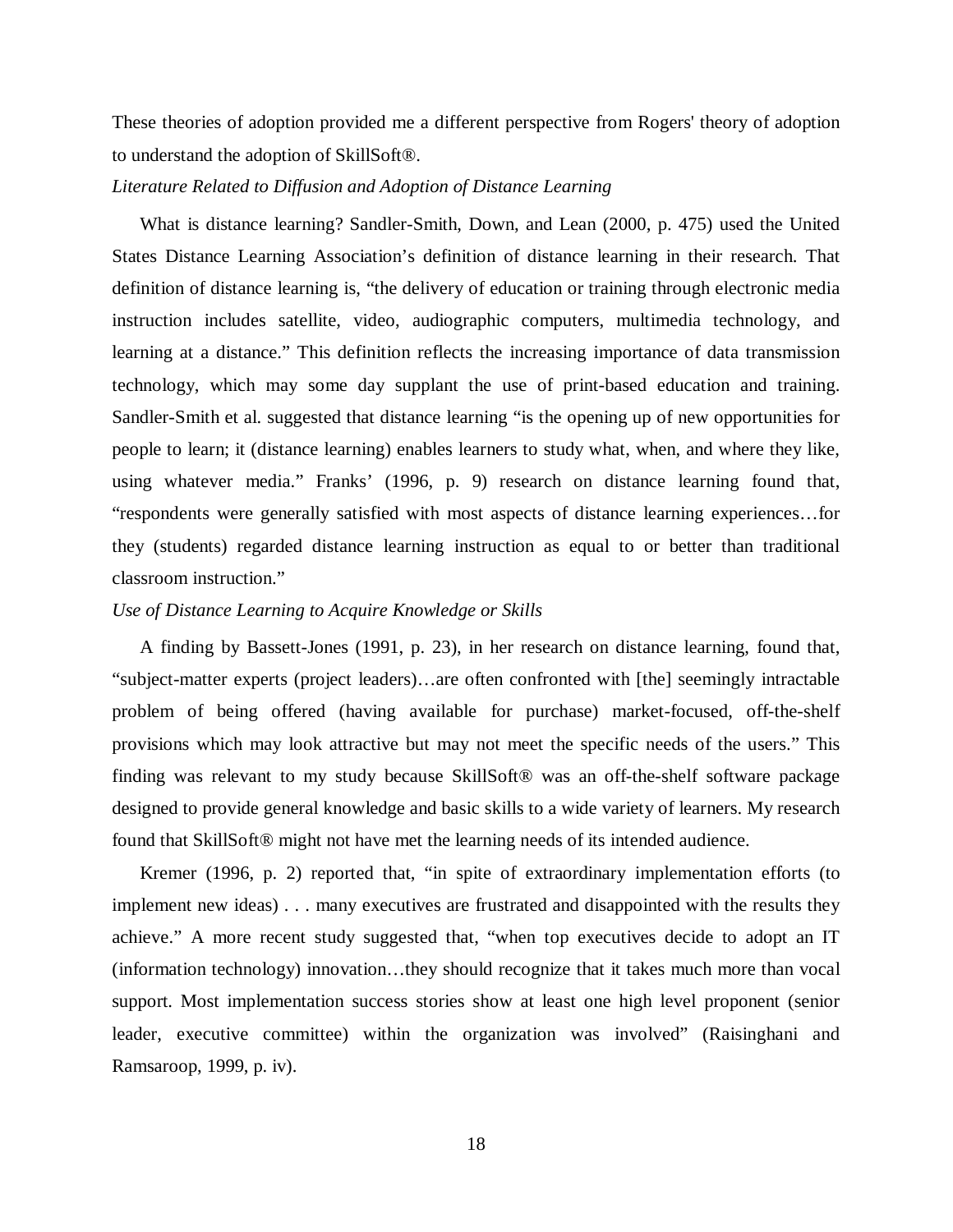These theories of adoption provided me a different perspective from Rogers' theory of adoption to understand the adoption of SkillSoft®.

### *Literature Related to Diffusion and Adoption of Distance Learning*

What is distance learning? Sandler-Smith, Down, and Lean (2000, p. 475) used the United States Distance Learning Association's definition of distance learning in their research. That definition of distance learning is, "the delivery of education or training through electronic media instruction includes satellite, video, audiographic computers, multimedia technology, and learning at a distance." This definition reflects the increasing importance of data transmission technology, which may some day supplant the use of print-based education and training. Sandler-Smith et al. suggested that distance learning "is the opening up of new opportunities for people to learn; it (distance learning) enables learners to study what, when, and where they like, using whatever media." Franks' (1996, p. 9) research on distance learning found that, "respondents were generally satisfied with most aspects of distance learning experiences…for they (students) regarded distance learning instruction as equal to or better than traditional classroom instruction."

# *Use of Distance Learning to Acquire Knowledge or Skills*

A finding by Bassett-Jones (1991, p. 23), in her research on distance learning, found that, "subject-matter experts (project leaders)…are often confronted with [the] seemingly intractable problem of being offered (having available for purchase) market-focused, off-the-shelf provisions which may look attractive but may not meet the specific needs of the users." This finding was relevant to my study because SkillSoft® was an off-the-shelf software package designed to provide general knowledge and basic skills to a wide variety of learners. My research found that SkillSoft® might not have met the learning needs of its intended audience.

Kremer (1996, p. 2) reported that, "in spite of extraordinary implementation efforts (to implement new ideas) . . . many executives are frustrated and disappointed with the results they achieve." A more recent study suggested that, "when top executives decide to adopt an IT (information technology) innovation…they should recognize that it takes much more than vocal support. Most implementation success stories show at least one high level proponent (senior leader, executive committee) within the organization was involved" (Raisinghani and Ramsaroop, 1999, p. iv).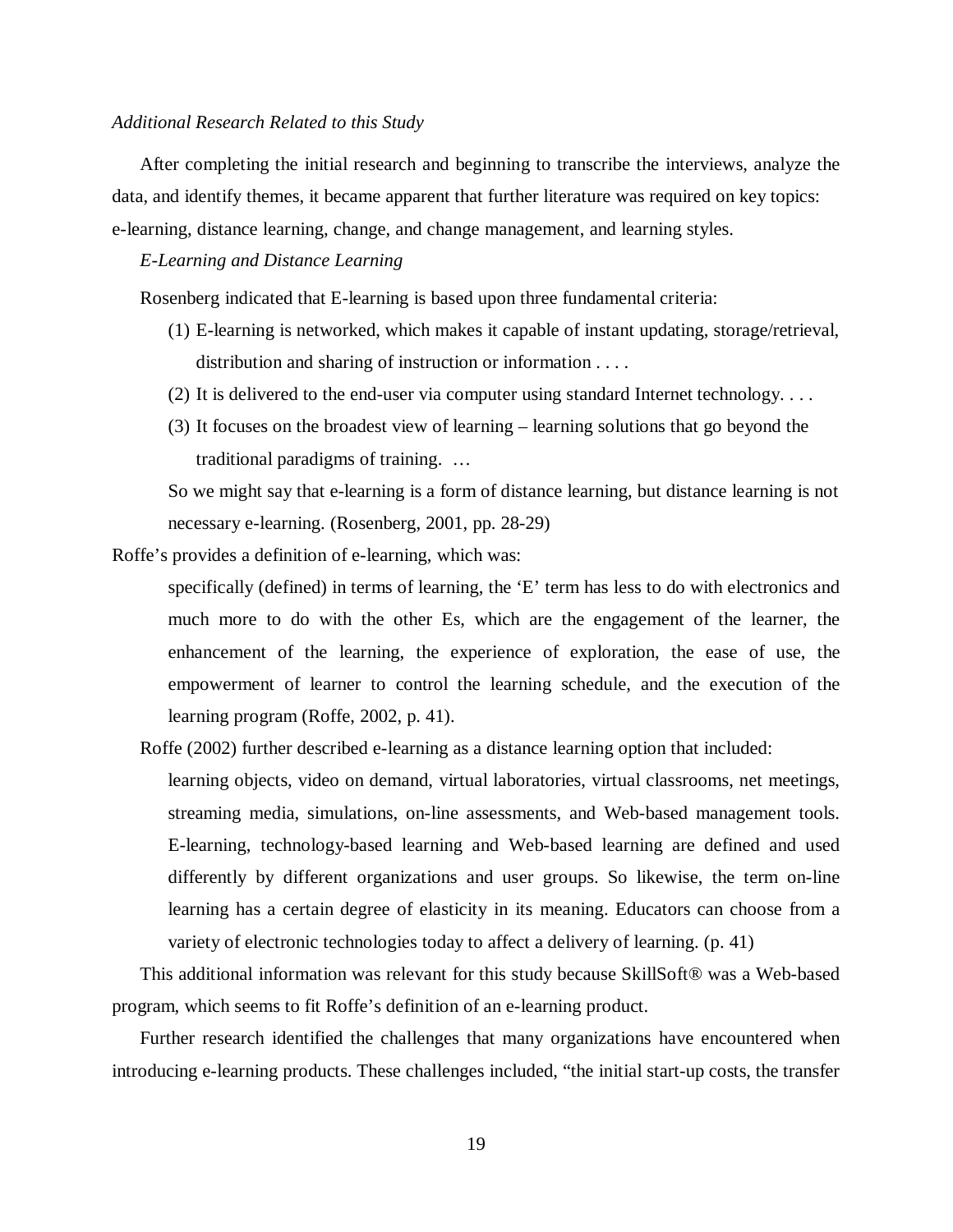### *Additional Research Related to this Study*

After completing the initial research and beginning to transcribe the interviews, analyze the data, and identify themes, it became apparent that further literature was required on key topics: e-learning, distance learning, change, and change management, and learning styles.

## *E-Learning and Distance Learning*

Rosenberg indicated that E-learning is based upon three fundamental criteria:

- (1) E-learning is networked, which makes it capable of instant updating, storage/retrieval, distribution and sharing of instruction or information . . . .
- (2) It is delivered to the end-user via computer using standard Internet technology. . . .
- (3) It focuses on the broadest view of learning learning solutions that go beyond the traditional paradigms of training. …

So we might say that e-learning is a form of distance learning, but distance learning is not necessary e-learning. (Rosenberg, 2001, pp. 28-29)

Roffe's provides a definition of e-learning, which was:

specifically (defined) in terms of learning, the 'E' term has less to do with electronics and much more to do with the other Es, which are the engagement of the learner, the enhancement of the learning, the experience of exploration, the ease of use, the empowerment of learner to control the learning schedule, and the execution of the learning program (Roffe, 2002, p. 41).

Roffe (2002) further described e-learning as a distance learning option that included:

learning objects, video on demand, virtual laboratories, virtual classrooms, net meetings, streaming media, simulations, on-line assessments, and Web-based management tools. E-learning, technology-based learning and Web-based learning are defined and used differently by different organizations and user groups. So likewise, the term on-line learning has a certain degree of elasticity in its meaning. Educators can choose from a variety of electronic technologies today to affect a delivery of learning. (p. 41)

This additional information was relevant for this study because SkillSoft® was a Web-based program, which seems to fit Roffe's definition of an e-learning product.

Further research identified the challenges that many organizations have encountered when introducing e-learning products. These challenges included, "the initial start-up costs, the transfer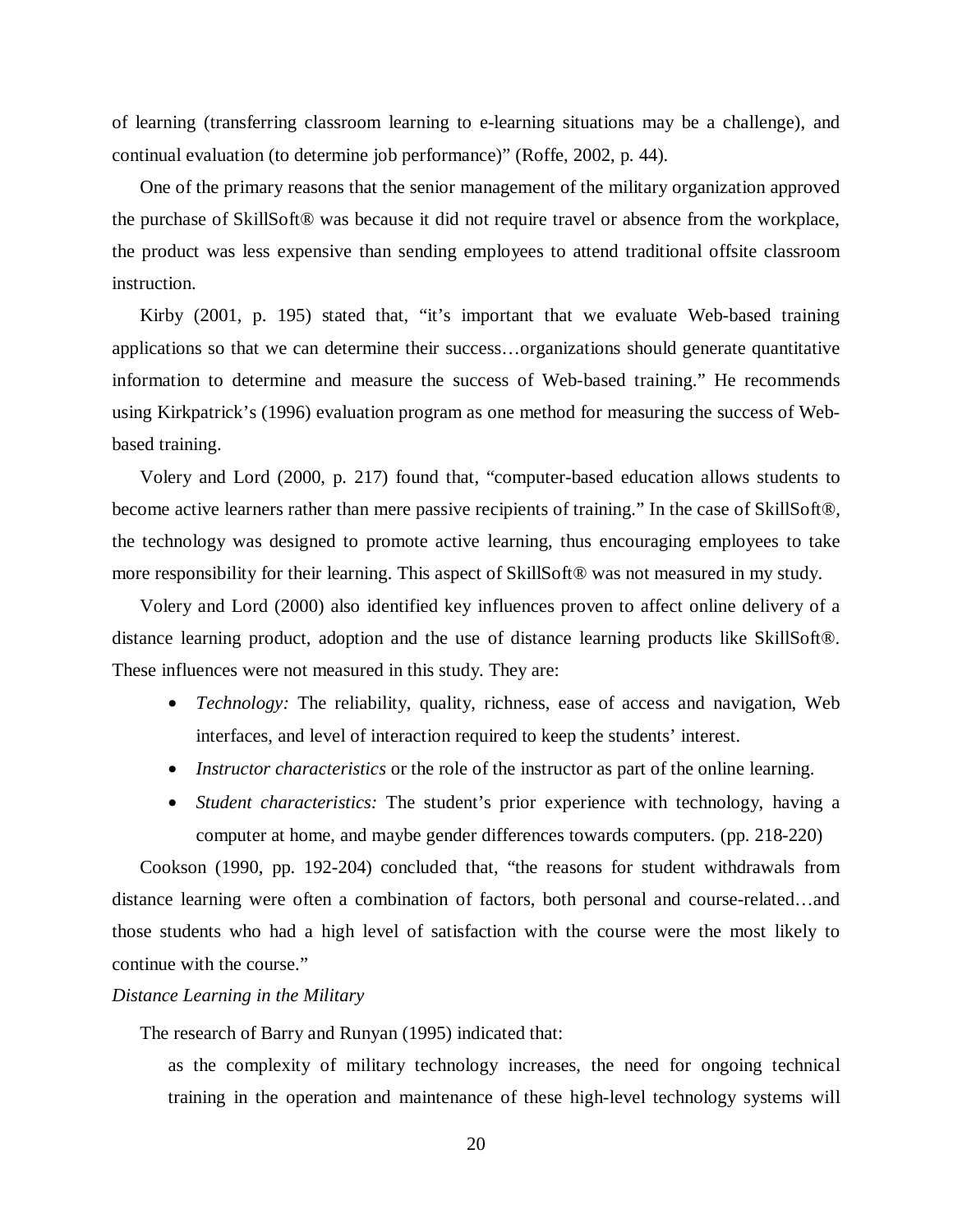of learning (transferring classroom learning to e-learning situations may be a challenge), and continual evaluation (to determine job performance)" (Roffe, 2002, p. 44).

One of the primary reasons that the senior management of the military organization approved the purchase of SkillSoft® was because it did not require travel or absence from the workplace, the product was less expensive than sending employees to attend traditional offsite classroom instruction.

Kirby (2001, p. 195) stated that, "it's important that we evaluate Web-based training applications so that we can determine their success…organizations should generate quantitative information to determine and measure the success of Web-based training." He recommends using Kirkpatrick's (1996) evaluation program as one method for measuring the success of Webbased training.

Volery and Lord (2000, p. 217) found that, "computer-based education allows students to become active learners rather than mere passive recipients of training." In the case of SkillSoft®, the technology was designed to promote active learning, thus encouraging employees to take more responsibility for their learning. This aspect of SkillSoft® was not measured in my study.

Volery and Lord (2000) also identified key influences proven to affect online delivery of a distance learning product, adoption and the use of distance learning products like SkillSoft®. These influences were not measured in this study. They are:

- *Technology:* The reliability, quality, richness, ease of access and navigation, Web interfaces, and level of interaction required to keep the students' interest.
- *Instructor characteristics* or the role of the instructor as part of the online learning.
- *Student characteristics:* The student's prior experience with technology, having a computer at home, and maybe gender differences towards computers. (pp. 218-220)

Cookson (1990, pp. 192-204) concluded that, "the reasons for student withdrawals from distance learning were often a combination of factors, both personal and course-related…and those students who had a high level of satisfaction with the course were the most likely to continue with the course."

## *Distance Learning in the Military*

The research of Barry and Runyan (1995) indicated that:

as the complexity of military technology increases, the need for ongoing technical training in the operation and maintenance of these high-level technology systems will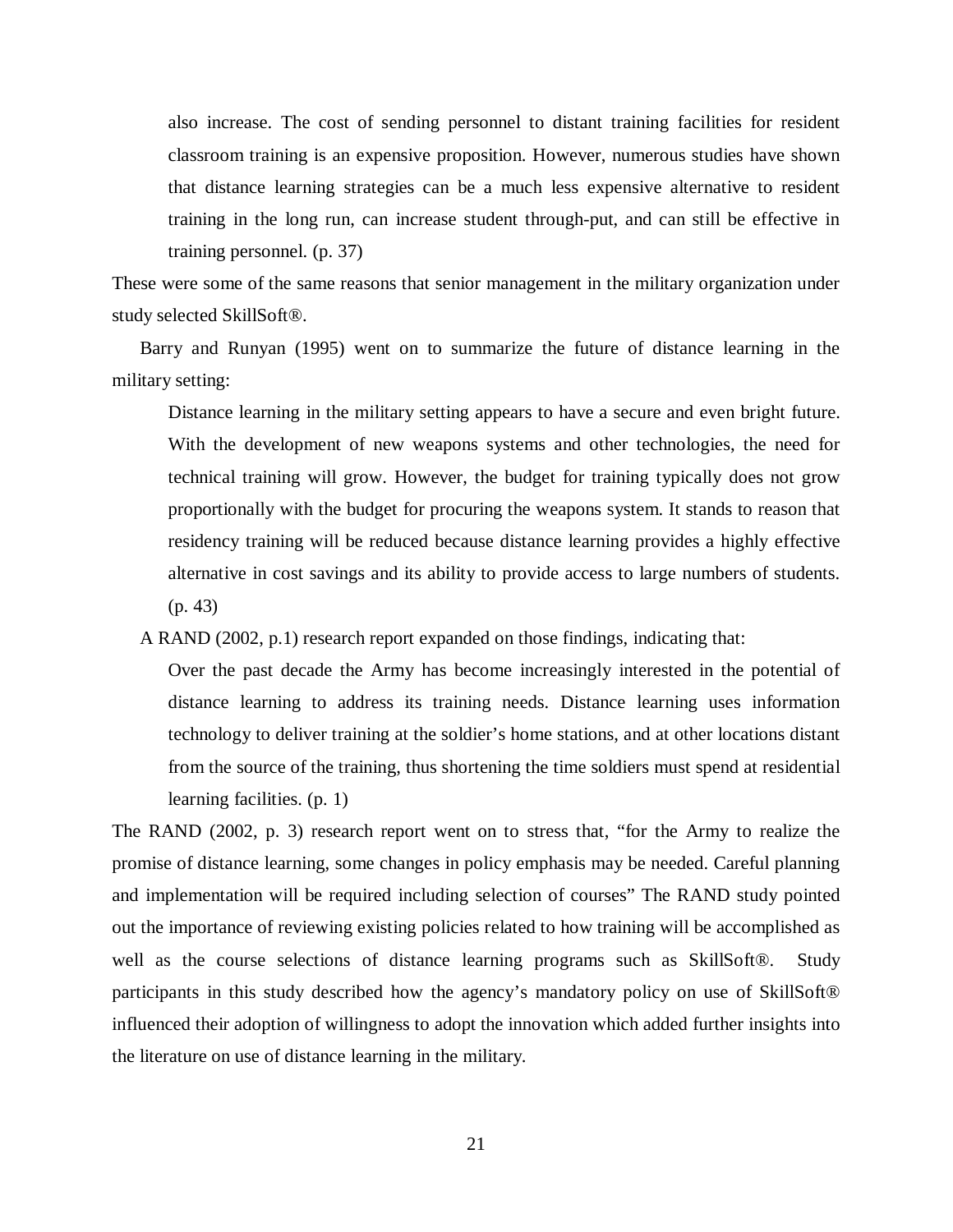also increase. The cost of sending personnel to distant training facilities for resident classroom training is an expensive proposition. However, numerous studies have shown that distance learning strategies can be a much less expensive alternative to resident training in the long run, can increase student through-put, and can still be effective in training personnel. (p. 37)

These were some of the same reasons that senior management in the military organization under study selected SkillSoft®.

Barry and Runyan (1995) went on to summarize the future of distance learning in the military setting:

Distance learning in the military setting appears to have a secure and even bright future. With the development of new weapons systems and other technologies, the need for technical training will grow. However, the budget for training typically does not grow proportionally with the budget for procuring the weapons system. It stands to reason that residency training will be reduced because distance learning provides a highly effective alternative in cost savings and its ability to provide access to large numbers of students. (p. 43)

A RAND (2002, p.1) research report expanded on those findings, indicating that:

Over the past decade the Army has become increasingly interested in the potential of distance learning to address its training needs. Distance learning uses information technology to deliver training at the soldier's home stations, and at other locations distant from the source of the training, thus shortening the time soldiers must spend at residential learning facilities. (p. 1)

The RAND (2002, p. 3) research report went on to stress that, "for the Army to realize the promise of distance learning, some changes in policy emphasis may be needed. Careful planning and implementation will be required including selection of courses" The RAND study pointed out the importance of reviewing existing policies related to how training will be accomplished as well as the course selections of distance learning programs such as SkillSoft®. Study participants in this study described how the agency's mandatory policy on use of SkillSoft® influenced their adoption of willingness to adopt the innovation which added further insights into the literature on use of distance learning in the military.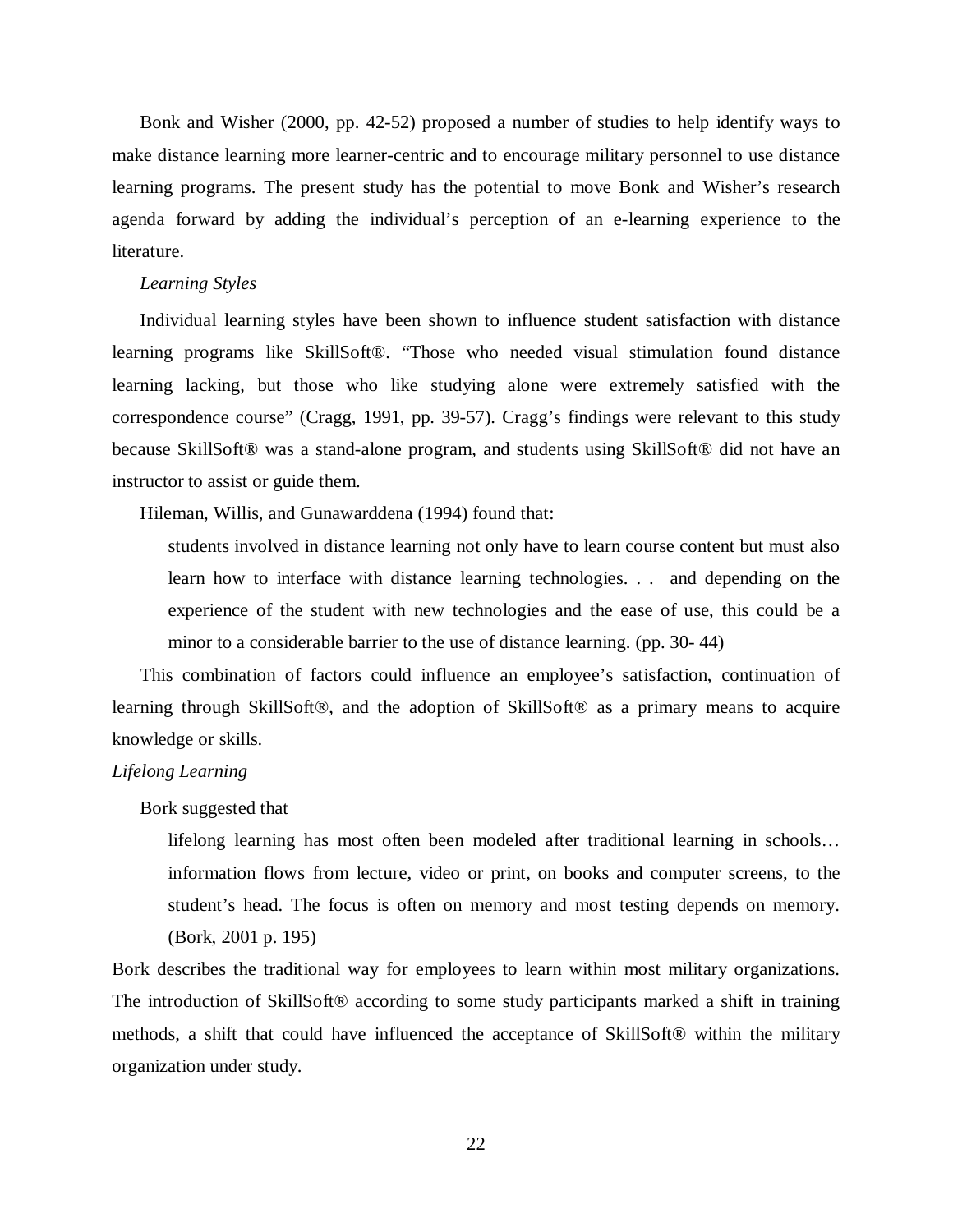Bonk and Wisher (2000, pp. 42-52) proposed a number of studies to help identify ways to make distance learning more learner-centric and to encourage military personnel to use distance learning programs. The present study has the potential to move Bonk and Wisher's research agenda forward by adding the individual's perception of an e-learning experience to the literature.

#### *Learning Styles*

Individual learning styles have been shown to influence student satisfaction with distance learning programs like SkillSoft®. "Those who needed visual stimulation found distance learning lacking, but those who like studying alone were extremely satisfied with the correspondence course" (Cragg, 1991, pp. 39-57). Cragg's findings were relevant to this study because SkillSoft® was a stand-alone program, and students using SkillSoft® did not have an instructor to assist or guide them.

Hileman, Willis, and Gunawarddena (1994) found that:

students involved in distance learning not only have to learn course content but must also learn how to interface with distance learning technologies. . . and depending on the experience of the student with new technologies and the ease of use, this could be a minor to a considerable barrier to the use of distance learning. (pp. 30- 44)

This combination of factors could influence an employee's satisfaction, continuation of learning through SkillSoft®, and the adoption of SkillSoft® as a primary means to acquire knowledge or skills.

## *Lifelong Learning*

Bork suggested that

lifelong learning has most often been modeled after traditional learning in schools… information flows from lecture, video or print, on books and computer screens, to the student's head. The focus is often on memory and most testing depends on memory. (Bork, 2001 p. 195)

Bork describes the traditional way for employees to learn within most military organizations. The introduction of SkillSoft® according to some study participants marked a shift in training methods, a shift that could have influenced the acceptance of SkillSoft® within the military organization under study.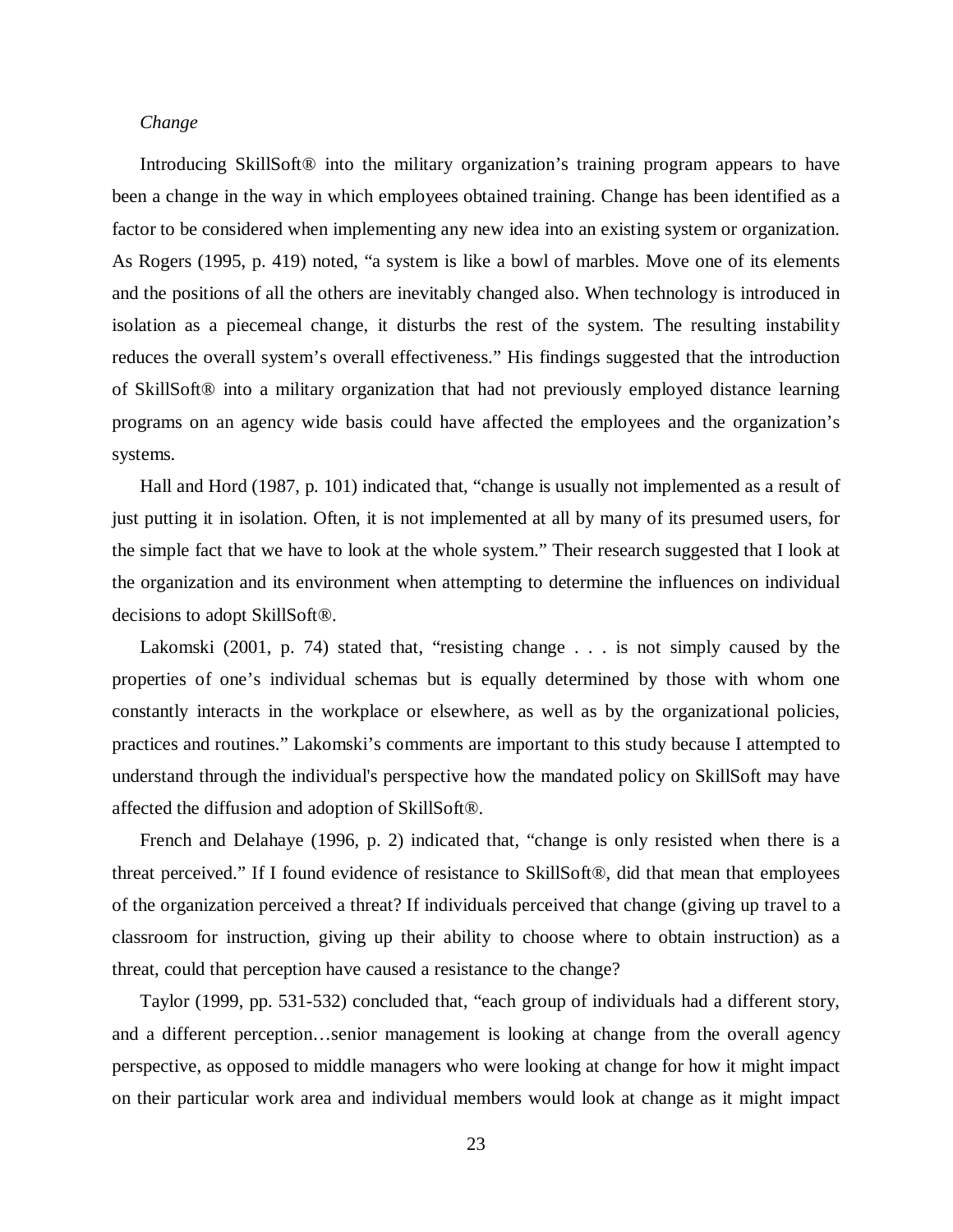### *Change*

Introducing SkillSoft<sup>®</sup> into the military organization's training program appears to have been a change in the way in which employees obtained training. Change has been identified as a factor to be considered when implementing any new idea into an existing system or organization. As Rogers (1995, p. 419) noted, "a system is like a bowl of marbles. Move one of its elements and the positions of all the others are inevitably changed also. When technology is introduced in isolation as a piecemeal change, it disturbs the rest of the system. The resulting instability reduces the overall system's overall effectiveness." His findings suggested that the introduction of SkillSoft® into a military organization that had not previously employed distance learning programs on an agency wide basis could have affected the employees and the organization's systems.

Hall and Hord (1987, p. 101) indicated that, "change is usually not implemented as a result of just putting it in isolation. Often, it is not implemented at all by many of its presumed users, for the simple fact that we have to look at the whole system." Their research suggested that I look at the organization and its environment when attempting to determine the influences on individual decisions to adopt SkillSoft®.

Lakomski (2001, p. 74) stated that, "resisting change . . . is not simply caused by the properties of one's individual schemas but is equally determined by those with whom one constantly interacts in the workplace or elsewhere, as well as by the organizational policies, practices and routines." Lakomski's comments are important to this study because I attempted to understand through the individual's perspective how the mandated policy on SkillSoft may have affected the diffusion and adoption of SkillSoft®.

French and Delahaye (1996, p. 2) indicated that, "change is only resisted when there is a threat perceived." If I found evidence of resistance to SkillSoft®, did that mean that employees of the organization perceived a threat? If individuals perceived that change (giving up travel to a classroom for instruction, giving up their ability to choose where to obtain instruction) as a threat, could that perception have caused a resistance to the change?

Taylor (1999, pp. 531-532) concluded that, "each group of individuals had a different story, and a different perception…senior management is looking at change from the overall agency perspective, as opposed to middle managers who were looking at change for how it might impact on their particular work area and individual members would look at change as it might impact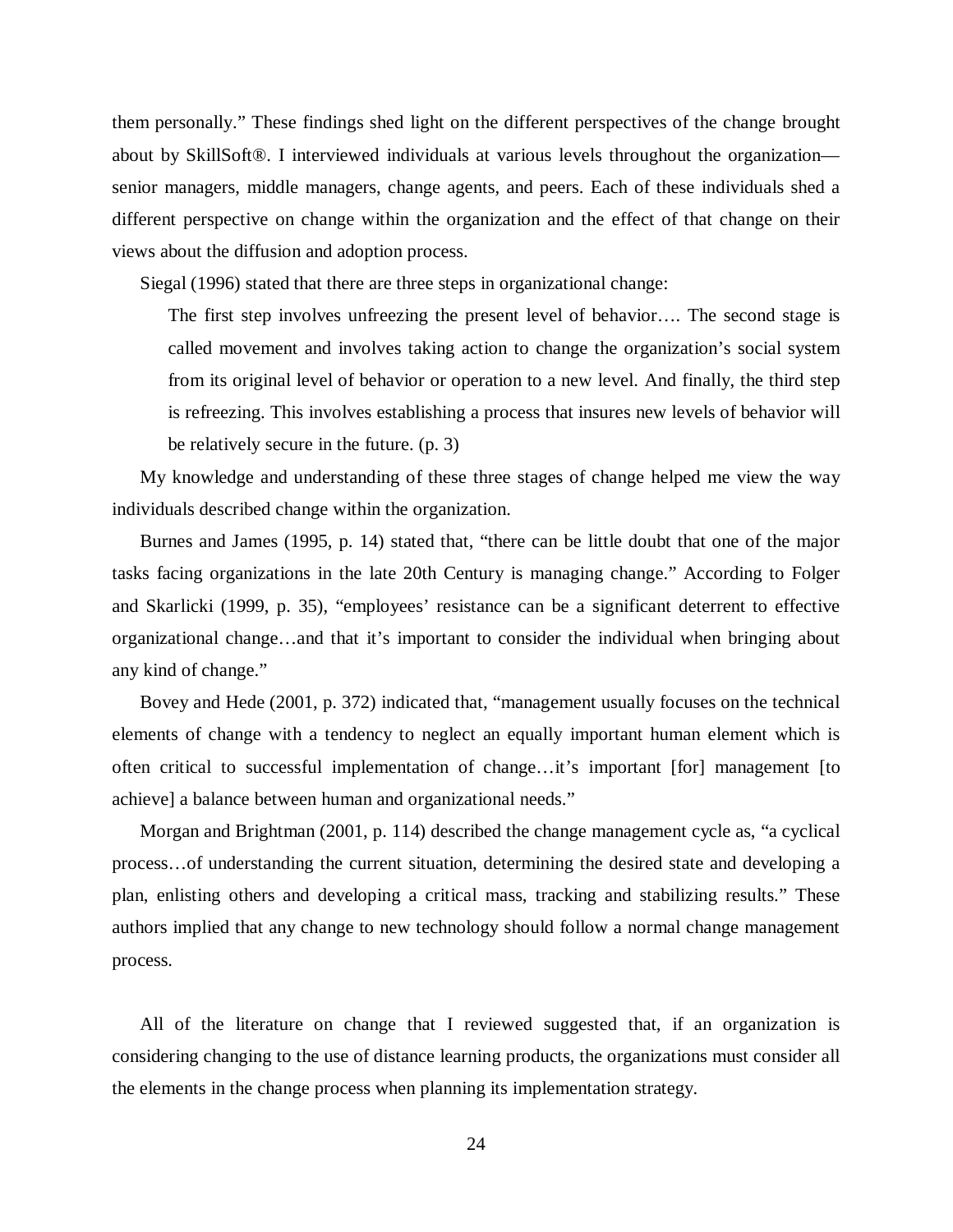them personally." These findings shed light on the different perspectives of the change brought about by SkillSoft®. I interviewed individuals at various levels throughout the organization senior managers, middle managers, change agents, and peers. Each of these individuals shed a different perspective on change within the organization and the effect of that change on their views about the diffusion and adoption process.

Siegal (1996) stated that there are three steps in organizational change:

The first step involves unfreezing the present level of behavior…. The second stage is called movement and involves taking action to change the organization's social system from its original level of behavior or operation to a new level. And finally, the third step is refreezing. This involves establishing a process that insures new levels of behavior will be relatively secure in the future. (p. 3)

My knowledge and understanding of these three stages of change helped me view the way individuals described change within the organization.

Burnes and James (1995, p. 14) stated that, "there can be little doubt that one of the major tasks facing organizations in the late 20th Century is managing change." According to Folger and Skarlicki (1999, p. 35), "employees' resistance can be a significant deterrent to effective organizational change…and that it's important to consider the individual when bringing about any kind of change."

Bovey and Hede (2001, p. 372) indicated that, "management usually focuses on the technical elements of change with a tendency to neglect an equally important human element which is often critical to successful implementation of change…it's important [for] management [to achieve] a balance between human and organizational needs."

Morgan and Brightman (2001, p. 114) described the change management cycle as, "a cyclical process…of understanding the current situation, determining the desired state and developing a plan, enlisting others and developing a critical mass, tracking and stabilizing results." These authors implied that any change to new technology should follow a normal change management process.

All of the literature on change that I reviewed suggested that, if an organization is considering changing to the use of distance learning products, the organizations must consider all the elements in the change process when planning its implementation strategy.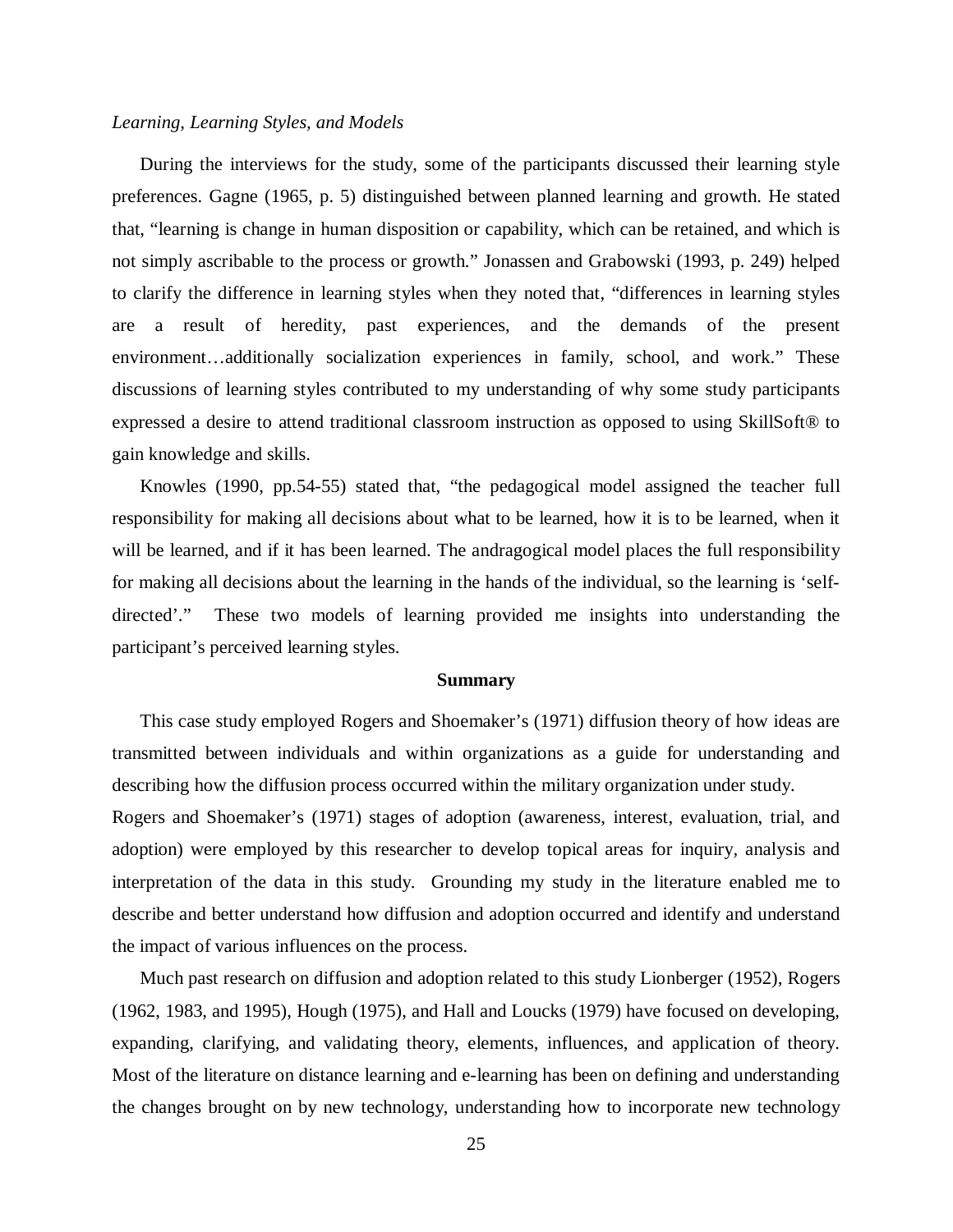### *Learning, Learning Styles, and Models*

During the interviews for the study, some of the participants discussed their learning style preferences. Gagne (1965, p. 5) distinguished between planned learning and growth. He stated that, "learning is change in human disposition or capability, which can be retained, and which is not simply ascribable to the process or growth." Jonassen and Grabowski (1993, p. 249) helped to clarify the difference in learning styles when they noted that, "differences in learning styles are a result of heredity, past experiences, and the demands of the present environment…additionally socialization experiences in family, school, and work." These discussions of learning styles contributed to my understanding of why some study participants expressed a desire to attend traditional classroom instruction as opposed to using SkillSoft® to gain knowledge and skills.

Knowles (1990, pp.54-55) stated that, "the pedagogical model assigned the teacher full responsibility for making all decisions about what to be learned, how it is to be learned, when it will be learned, and if it has been learned. The andragogical model places the full responsibility for making all decisions about the learning in the hands of the individual, so the learning is 'selfdirected'." These two models of learning provided me insights into understanding the participant's perceived learning styles.

#### **Summary**

This case study employed Rogers and Shoemaker's (1971) diffusion theory of how ideas are transmitted between individuals and within organizations as a guide for understanding and describing how the diffusion process occurred within the military organization under study.

Rogers and Shoemaker's (1971) stages of adoption (awareness, interest, evaluation, trial, and adoption) were employed by this researcher to develop topical areas for inquiry, analysis and interpretation of the data in this study. Grounding my study in the literature enabled me to describe and better understand how diffusion and adoption occurred and identify and understand the impact of various influences on the process.

Much past research on diffusion and adoption related to this study Lionberger (1952), Rogers (1962, 1983, and 1995), Hough (1975), and Hall and Loucks (1979) have focused on developing, expanding, clarifying, and validating theory, elements, influences, and application of theory. Most of the literature on distance learning and e-learning has been on defining and understanding the changes brought on by new technology, understanding how to incorporate new technology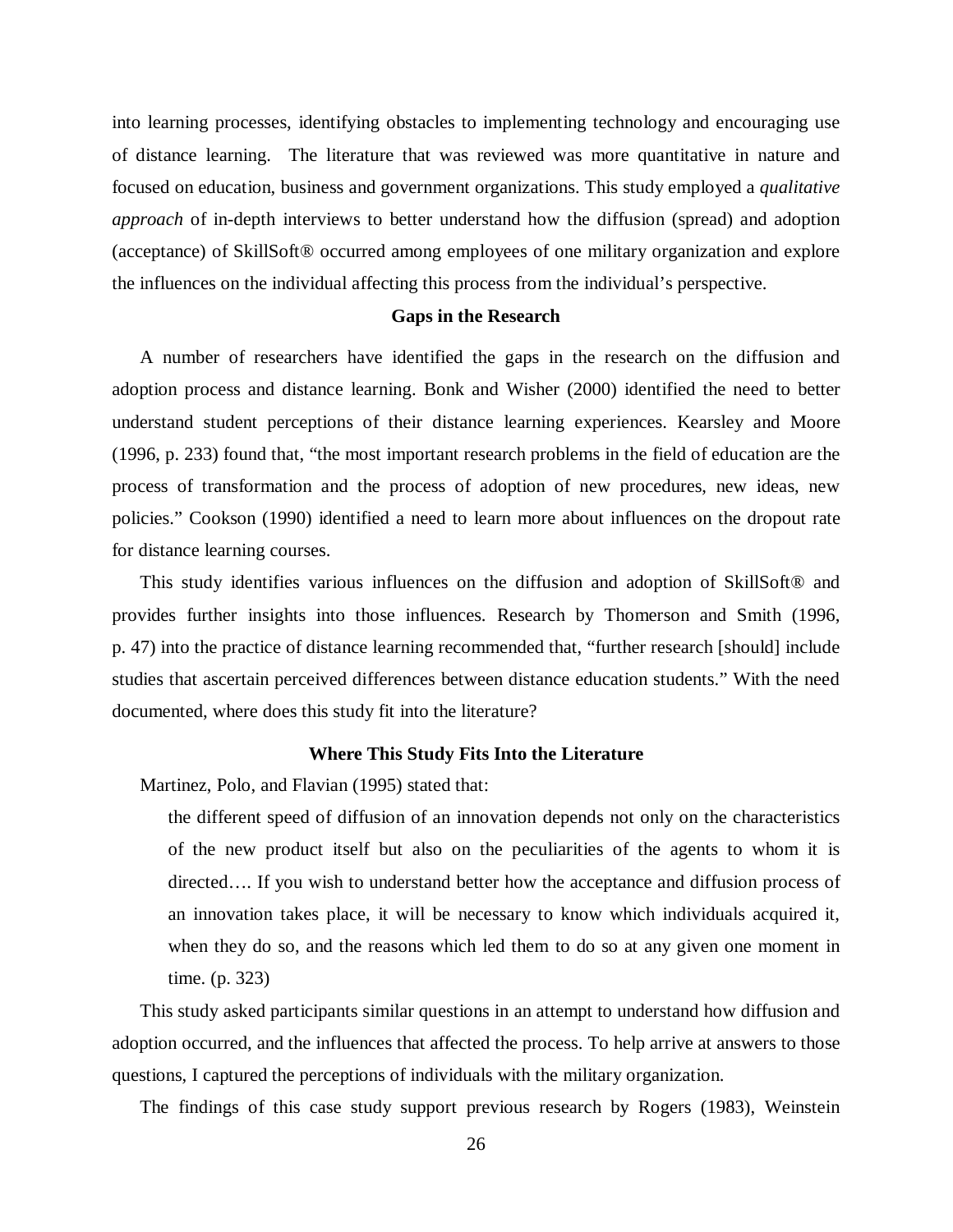into learning processes, identifying obstacles to implementing technology and encouraging use of distance learning. The literature that was reviewed was more quantitative in nature and focused on education, business and government organizations. This study employed a *qualitative approach* of in-depth interviews to better understand how the diffusion (spread) and adoption (acceptance) of SkillSoft® occurred among employees of one military organization and explore the influences on the individual affecting this process from the individual's perspective.

### **Gaps in the Research**

A number of researchers have identified the gaps in the research on the diffusion and adoption process and distance learning. Bonk and Wisher (2000) identified the need to better understand student perceptions of their distance learning experiences. Kearsley and Moore (1996, p. 233) found that, "the most important research problems in the field of education are the process of transformation and the process of adoption of new procedures, new ideas, new policies." Cookson (1990) identified a need to learn more about influences on the dropout rate for distance learning courses.

This study identifies various influences on the diffusion and adoption of SkillSoft® and provides further insights into those influences. Research by Thomerson and Smith (1996, p. 47) into the practice of distance learning recommended that, "further research [should] include studies that ascertain perceived differences between distance education students." With the need documented, where does this study fit into the literature?

## **Where This Study Fits Into the Literature**

Martinez, Polo, and Flavian (1995) stated that:

the different speed of diffusion of an innovation depends not only on the characteristics of the new product itself but also on the peculiarities of the agents to whom it is directed…. If you wish to understand better how the acceptance and diffusion process of an innovation takes place, it will be necessary to know which individuals acquired it, when they do so, and the reasons which led them to do so at any given one moment in time. (p. 323)

This study asked participants similar questions in an attempt to understand how diffusion and adoption occurred, and the influences that affected the process. To help arrive at answers to those questions, I captured the perceptions of individuals with the military organization.

The findings of this case study support previous research by Rogers (1983), Weinstein